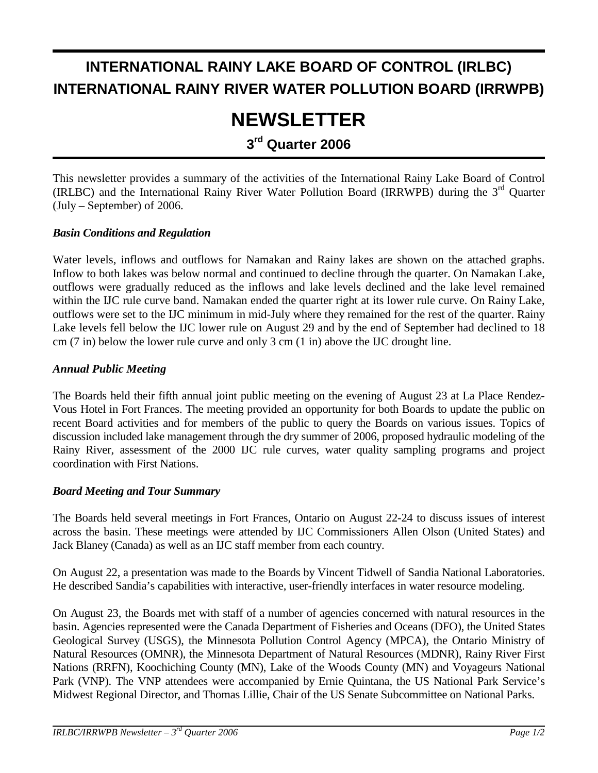## **INTERNATIONAL RAINY LAKE BOARD OF CONTROL (IRLBC) INTERNATIONAL RAINY RIVER WATER POLLUTION BOARD (IRRWPB)**

# **NEWSLETTER**

**3rd Quarter 2006** 

This newsletter provides a summary of the activities of the International Rainy Lake Board of Control (IRLBC) and the International Rainy River Water Pollution Board (IRRWPB) during the  $3<sup>rd</sup>$  Quarter (July – September) of 2006.

#### *Basin Conditions and Regulation*

Water levels, inflows and outflows for Namakan and Rainy lakes are shown on the attached graphs. Inflow to both lakes was below normal and continued to decline through the quarter. On Namakan Lake, outflows were gradually reduced as the inflows and lake levels declined and the lake level remained within the IJC rule curve band. Namakan ended the quarter right at its lower rule curve. On Rainy Lake, outflows were set to the IJC minimum in mid-July where they remained for the rest of the quarter. Rainy Lake levels fell below the IJC lower rule on August 29 and by the end of September had declined to 18 cm (7 in) below the lower rule curve and only 3 cm (1 in) above the IJC drought line.

#### *Annual Public Meeting*

The Boards held their fifth annual joint public meeting on the evening of August 23 at La Place Rendez-Vous Hotel in Fort Frances. The meeting provided an opportunity for both Boards to update the public on recent Board activities and for members of the public to query the Boards on various issues. Topics of discussion included lake management through the dry summer of 2006, proposed hydraulic modeling of the Rainy River, assessment of the 2000 IJC rule curves, water quality sampling programs and project coordination with First Nations.

#### *Board Meeting and Tour Summary*

The Boards held several meetings in Fort Frances, Ontario on August 22-24 to discuss issues of interest across the basin. These meetings were attended by IJC Commissioners Allen Olson (United States) and Jack Blaney (Canada) as well as an IJC staff member from each country.

On August 22, a presentation was made to the Boards by Vincent Tidwell of Sandia National Laboratories. He described Sandia's capabilities with interactive, user-friendly interfaces in water resource modeling.

On August 23, the Boards met with staff of a number of agencies concerned with natural resources in the basin. Agencies represented were the Canada Department of Fisheries and Oceans (DFO), the United States Geological Survey (USGS), the Minnesota Pollution Control Agency (MPCA), the Ontario Ministry of Natural Resources (OMNR), the Minnesota Department of Natural Resources (MDNR), Rainy River First Nations (RRFN), Koochiching County (MN), Lake of the Woods County (MN) and Voyageurs National Park (VNP). The VNP attendees were accompanied by Ernie Quintana, the US National Park Service's Midwest Regional Director, and Thomas Lillie, Chair of the US Senate Subcommittee on National Parks.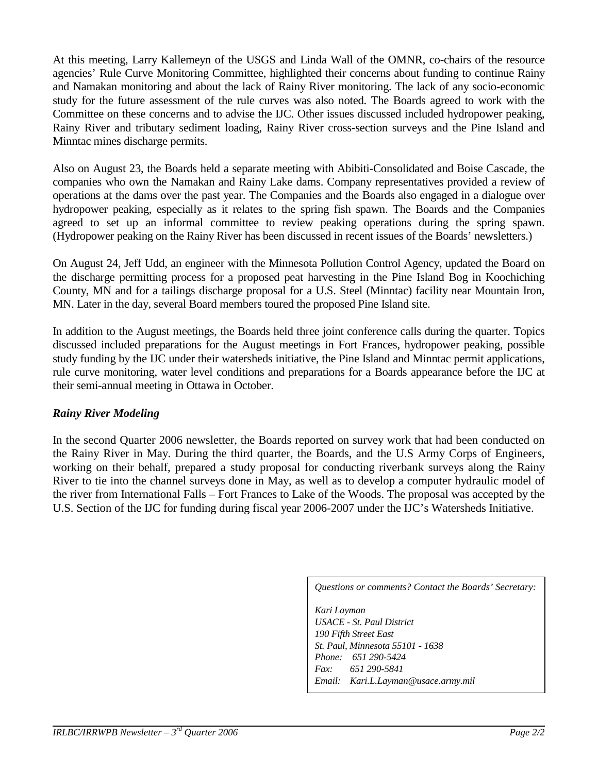At this meeting, Larry Kallemeyn of the USGS and Linda Wall of the OMNR, co-chairs of the resource agencies' Rule Curve Monitoring Committee, highlighted their concerns about funding to continue Rainy and Namakan monitoring and about the lack of Rainy River monitoring. The lack of any socio-economic study for the future assessment of the rule curves was also noted. The Boards agreed to work with the Committee on these concerns and to advise the IJC. Other issues discussed included hydropower peaking, Rainy River and tributary sediment loading, Rainy River cross-section surveys and the Pine Island and Minntac mines discharge permits.

Also on August 23, the Boards held a separate meeting with Abibiti-Consolidated and Boise Cascade, the companies who own the Namakan and Rainy Lake dams. Company representatives provided a review of operations at the dams over the past year. The Companies and the Boards also engaged in a dialogue over hydropower peaking, especially as it relates to the spring fish spawn. The Boards and the Companies agreed to set up an informal committee to review peaking operations during the spring spawn. (Hydropower peaking on the Rainy River has been discussed in recent issues of the Boards' newsletters.)

On August 24, Jeff Udd, an engineer with the Minnesota Pollution Control Agency, updated the Board on the discharge permitting process for a proposed peat harvesting in the Pine Island Bog in Koochiching County, MN and for a tailings discharge proposal for a U.S. Steel (Minntac) facility near Mountain Iron, MN. Later in the day, several Board members toured the proposed Pine Island site.

In addition to the August meetings, the Boards held three joint conference calls during the quarter. Topics discussed included preparations for the August meetings in Fort Frances, hydropower peaking, possible study funding by the IJC under their watersheds initiative, the Pine Island and Minntac permit applications, rule curve monitoring, water level conditions and preparations for a Boards appearance before the IJC at their semi-annual meeting in Ottawa in October.

#### *Rainy River Modeling*

In the second Quarter 2006 newsletter, the Boards reported on survey work that had been conducted on the Rainy River in May. During the third quarter, the Boards, and the U.S Army Corps of Engineers, working on their behalf, prepared a study proposal for conducting riverbank surveys along the Rainy River to tie into the channel surveys done in May, as well as to develop a computer hydraulic model of the river from International Falls – Fort Frances to Lake of the Woods. The proposal was accepted by the U.S. Section of the IJC for funding during fiscal year 2006-2007 under the IJC's Watersheds Initiative.

*Questions or comments? Contact the Boards' Secretary:* 

*Kari Layman USACE - St. Paul District 190 Fifth Street East St. Paul, Minnesota 55101 - 1638 Phone: 651 290-5424 Fax: 651 290-5841 Email: Kari.L.Layman@usace.army.mil*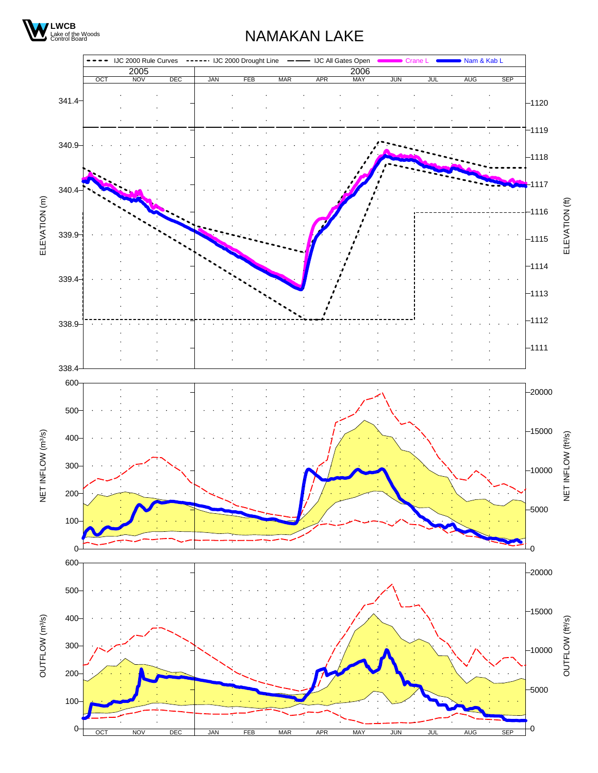

### NAMAKAN LAKE